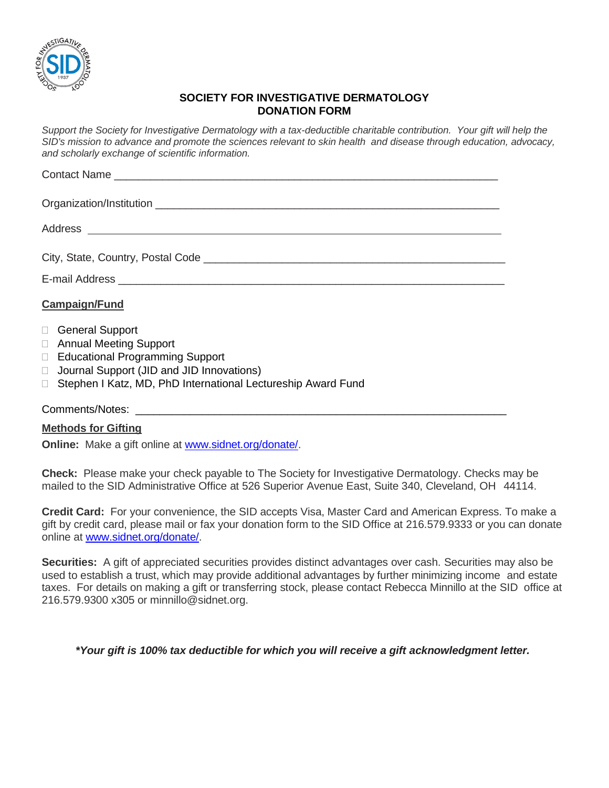

## **SOCIETY FOR INVESTIGATIVE DERMATOLOGY DONATION FORM**

*Support the Society for Investigative Dermatology with a tax-deductible charitable contribution. Your gift will help the*  SID's mission to advance and promote the sciences relevant to skin health and disease through education, advocacy, *and scholarly exchange of scientific information.*

| City, State, Country, Postal Code                                                                                                      |
|----------------------------------------------------------------------------------------------------------------------------------------|
|                                                                                                                                        |
| <b>Campaign/Fund</b>                                                                                                                   |
| □ General Support<br>□ Annual Meeting Support<br>□ Educational Programming Support<br>$\Box$ Journal Support (JID and JID Innovations) |
| □ Stephen I Katz, MD, PhD International Lectureship Award Fund                                                                         |

## Comments/Notes:

## **Methods for Gifting**

**Online:** Make a gift online at [www.sidnet.org/donate/.](http://www.sidnet.org/donate/)

**Check:** Please make your check payable to The Society for Investigative Dermatology. Checks may be mailed to the SID Administrative Office at 526 Superior Avenue East, Suite 340, Cleveland, OH 44114.

**Credit Card:** For your convenience, the SID accepts Visa, Master Card and American Express. To make a gift by credit card, please mail or fax your donation form to the SID Office at 216.579.9333 or you can donate online at [www.sidnet.org/donate/.](http://www.sidnet.org/donate/)

**Securities:** A gift of appreciated securities provides distinct advantages over cash. Securities may also be used to establish a trust, which may provide additional advantages by further minimizing income and estate taxes. For details on making a gift or transferring stock, please contact Rebecca Minnillo at the SID office at 216.579.9300 x305 or [minnillo@sidnet.org.](mailto:minnillo@sidnet.org)

*\*Your gift is 100% tax deductible for which you will receive a gift acknowledgment letter.*